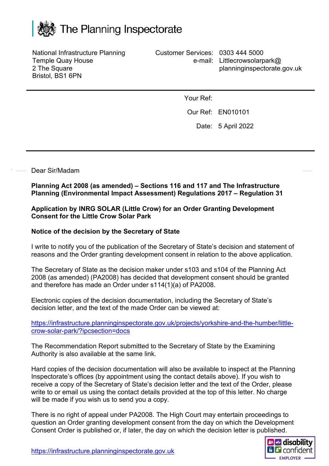

National Infrastructure Planning Temple Quay House 2 The Square Bristol, BS1 6PN

Customer Services: 0303 444 5000 e-mail: Littlecrowsolarpark@ planninginspectorate.gov.uk

Your Ref:

Our Ref: EN010101

Date: 5 April 2022

## Dear Sir/Madam

**Planning Act 2008 (as amended) – Sections 116 and 117 and The Infrastructure Planning (Environmental Impact Assessment) Regulations 2017 – Regulation 31**

## **Application by INRG SOLAR (Little Crow) for an Order Granting Development Consent for the Little Crow Solar Park**

## **Notice of the decision by the Secretary of State**

I write to notify you of the publication of the Secretary of State's decision and statement of reasons and the Order granting development consent in relation to the above application.

The Secretary of State as the decision maker under s103 and s104 of the Planning Act 2008 (as amended) (PA2008) has decided that development consent should be granted and therefore has made an Order under s114(1)(a) of PA2008.

Electronic copies of the decision documentation, including the Secretary of State's decision letter, and the text of the made Order can be viewed at:

[https://infrastructure.planninginspectorate.gov.uk/projects/yorkshire-and-the-humber/little](https://infrastructure.planninginspectorate.gov.uk/projects/yorkshire-and-the-humber/little-crow-solar-park/?ipcsection=docs)[crow-solar-park/?ipcsection=docs](https://infrastructure.planninginspectorate.gov.uk/projects/yorkshire-and-the-humber/little-crow-solar-park/?ipcsection=docs)

The Recommendation Report submitted to the Secretary of State by the Examining Authority is also available at the same link.

Hard copies of the decision documentation will also be available to inspect at the Planning Inspectorate's offices (by appointment using the contact details above). If you wish to receive a copy of the Secretary of State's decision letter and the text of the Order, please write to or email us using the contact details provided at the top of this letter. No charge will be made if you wish us to send you a copy.

There is no right of appeal under PA2008. The High Court may entertain proceedings to question an Order granting development consent from the day on which the Development Consent Order is published or, if later, the day on which the decision letter is published.